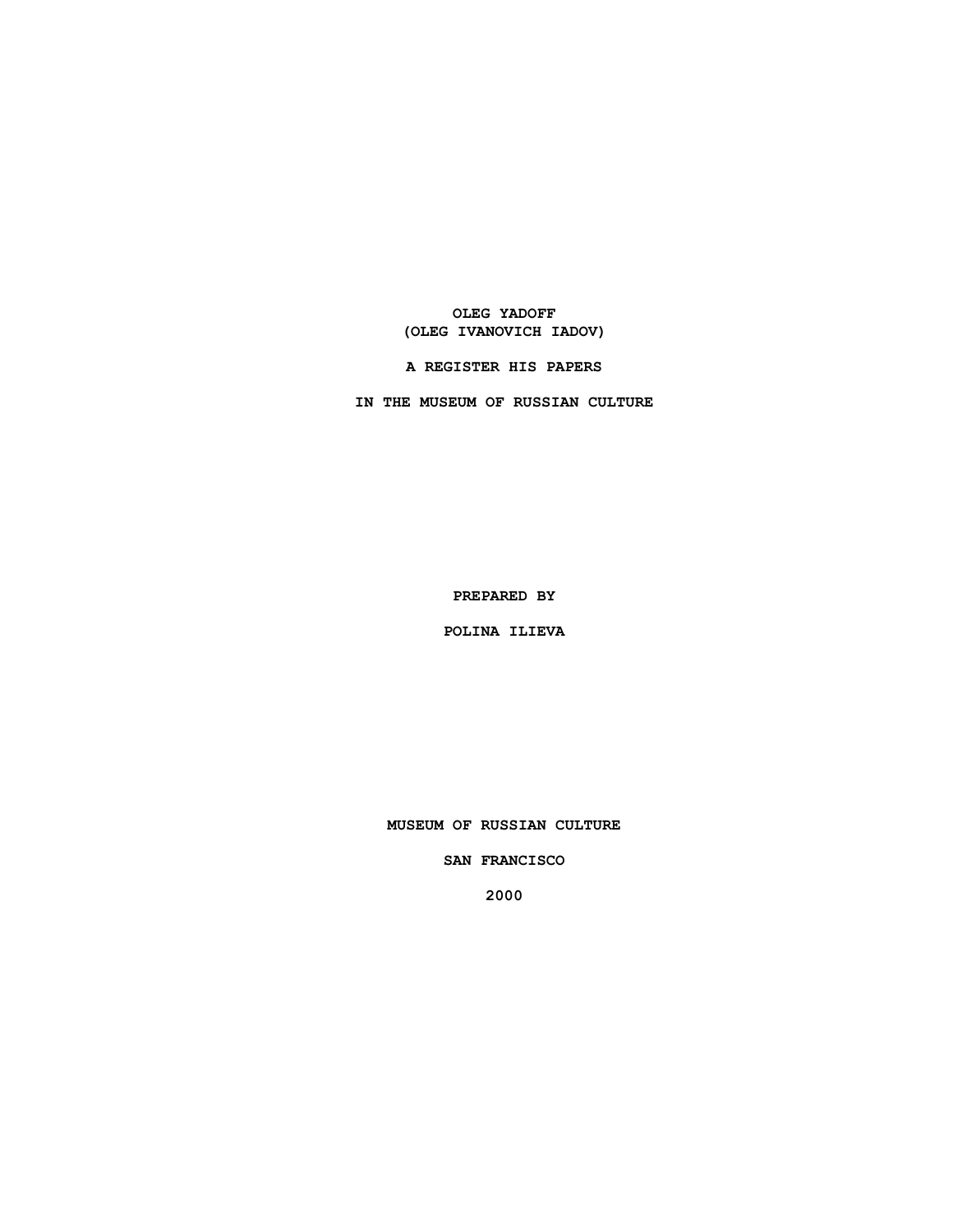**OLEG YADOFF (OLEG IVANOVICH IADOV)**

**IN THE MUSEUM OF RUSSIAN CULTURE**

**A REGISTER HIS PAPERS**

**PREPARED BY**

**POLINA ILIEVA**

**MUSEUM OF RUSSIAN CULTURE**

**SAN FRANCISCO**

**2000**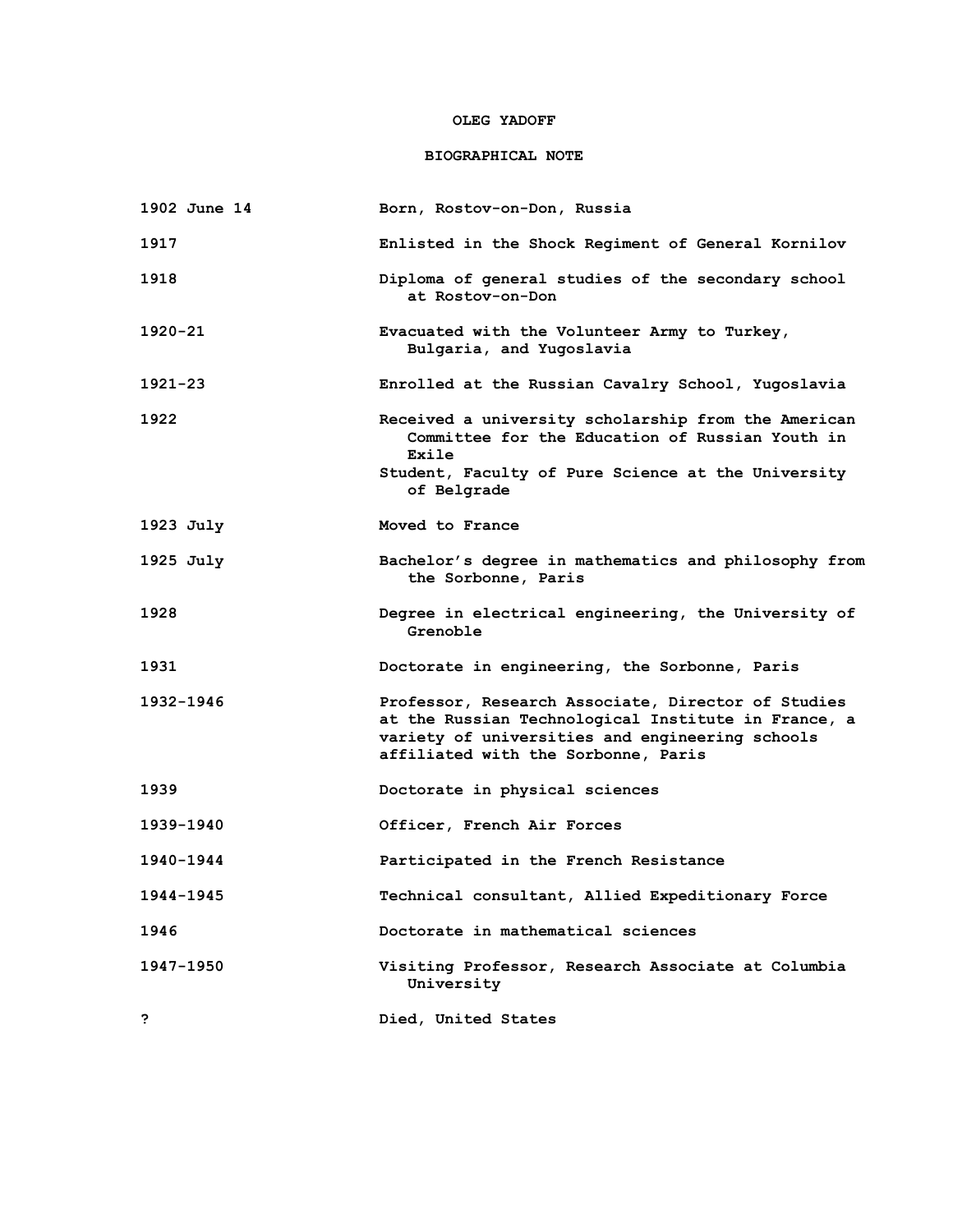### **OLEG YADOFF**

## **BIOGRAPHICAL NOTE**

| 1902 June 14 | Born, Rostov-on-Don, Russia                                                                                                                                                                         |
|--------------|-----------------------------------------------------------------------------------------------------------------------------------------------------------------------------------------------------|
| 1917         | Enlisted in the Shock Regiment of General Kornilov                                                                                                                                                  |
| 1918         | Diploma of general studies of the secondary school<br>at Rostov-on-Don                                                                                                                              |
| 1920-21      | Evacuated with the Volunteer Army to Turkey,<br>Bulgaria, and Yugoslavia                                                                                                                            |
| $1921 - 23$  | Enrolled at the Russian Cavalry School, Yugoslavia                                                                                                                                                  |
| 1922         | Received a university scholarship from the American<br>Committee for the Education of Russian Youth in<br>Exile                                                                                     |
|              | Student, Faculty of Pure Science at the University<br>of Belgrade                                                                                                                                   |
| 1923 July    | Moved to France                                                                                                                                                                                     |
| $1925$ July  | Bachelor's degree in mathematics and philosophy from<br>the Sorbonne, Paris                                                                                                                         |
| 1928         | Degree in electrical engineering, the University of<br>Grenoble                                                                                                                                     |
| 1931         | Doctorate in engineering, the Sorbonne, Paris                                                                                                                                                       |
| 1932-1946    | Professor, Research Associate, Director of Studies<br>at the Russian Technological Institute in France, a<br>variety of universities and engineering schools<br>affiliated with the Sorbonne, Paris |
| 1939         | Doctorate in physical sciences                                                                                                                                                                      |
| 1939-1940    | Officer, French Air Forces                                                                                                                                                                          |
| 1940-1944    | Participated in the French Resistance                                                                                                                                                               |
| 1944-1945    | Technical consultant, Allied Expeditionary Force                                                                                                                                                    |
| 1946         | Doctorate in mathematical sciences                                                                                                                                                                  |
| 1947-1950    | Visiting Professor, Research Associate at Columbia<br>University                                                                                                                                    |
| ?            | Died, United States                                                                                                                                                                                 |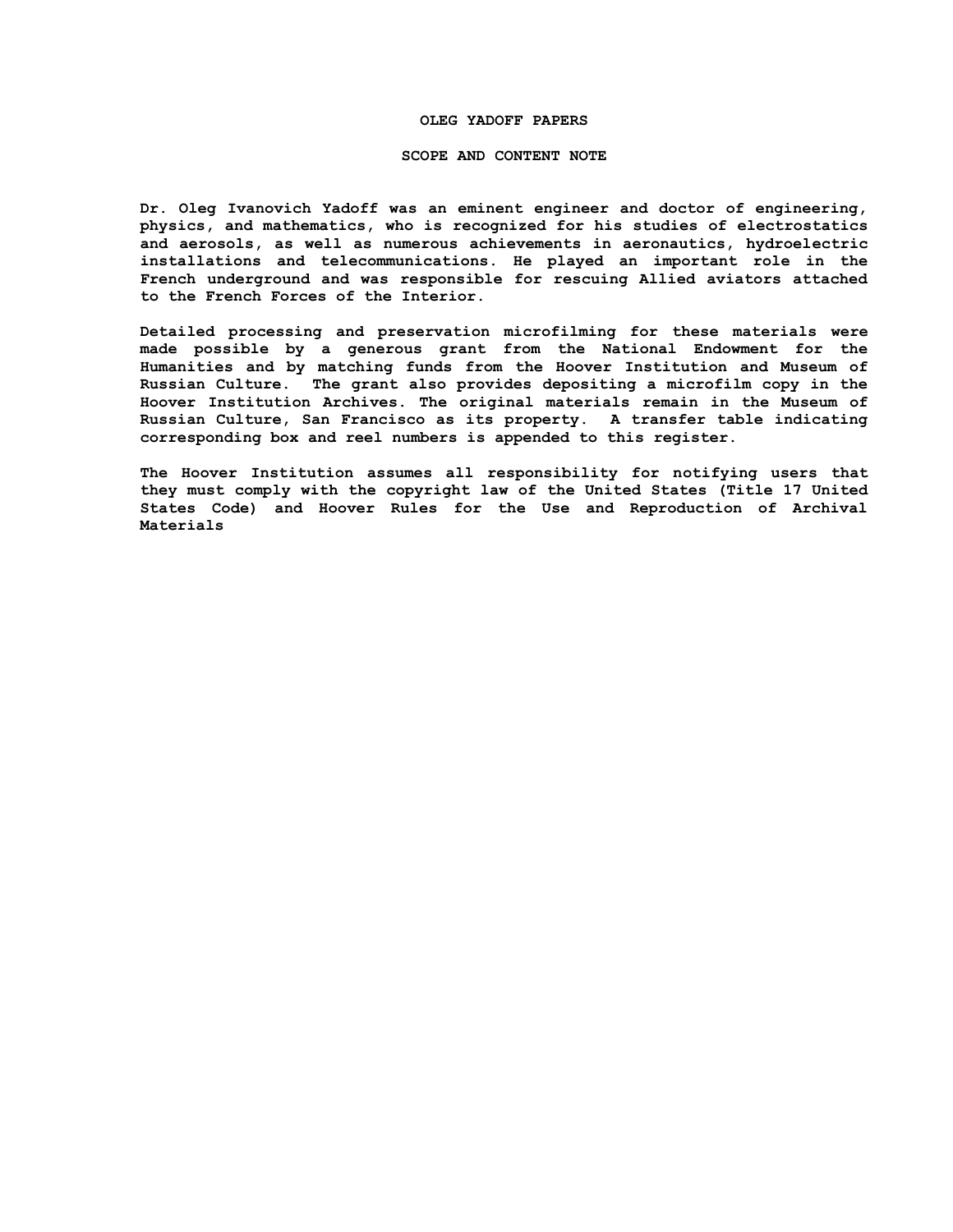### **OLEG YADOFF PAPERS**

#### **SCOPE AND CONTENT NOTE**

**Dr. Oleg Ivanovich Yadoff was an eminent engineer and doctor of engineering, physics, and mathematics, who is recognized for his studies of electrostatics and aerosols, as well as numerous achievements in aeronautics, hydroelectric installations and telecommunications. He played an important role in the French underground and was responsible for rescuing Allied aviators attached to the French Forces of the Interior.** 

**Detailed processing and preservation microfilming for these materials were made possible by a generous grant from the National Endowment for the Humanities and by matching funds from the Hoover Institution and Museum of Russian Culture. The grant also provides depositing a microfilm copy in the Hoover Institution Archives. The original materials remain in the Museum of Russian Culture, San Francisco as its property. A transfer table indicating corresponding box and reel numbers is appended to this register.**

**The Hoover Institution assumes all responsibility for notifying users that they must comply with the copyright law of the United States (Title 17 United States Code) and Hoover Rules for the Use and Reproduction of Archival Materials**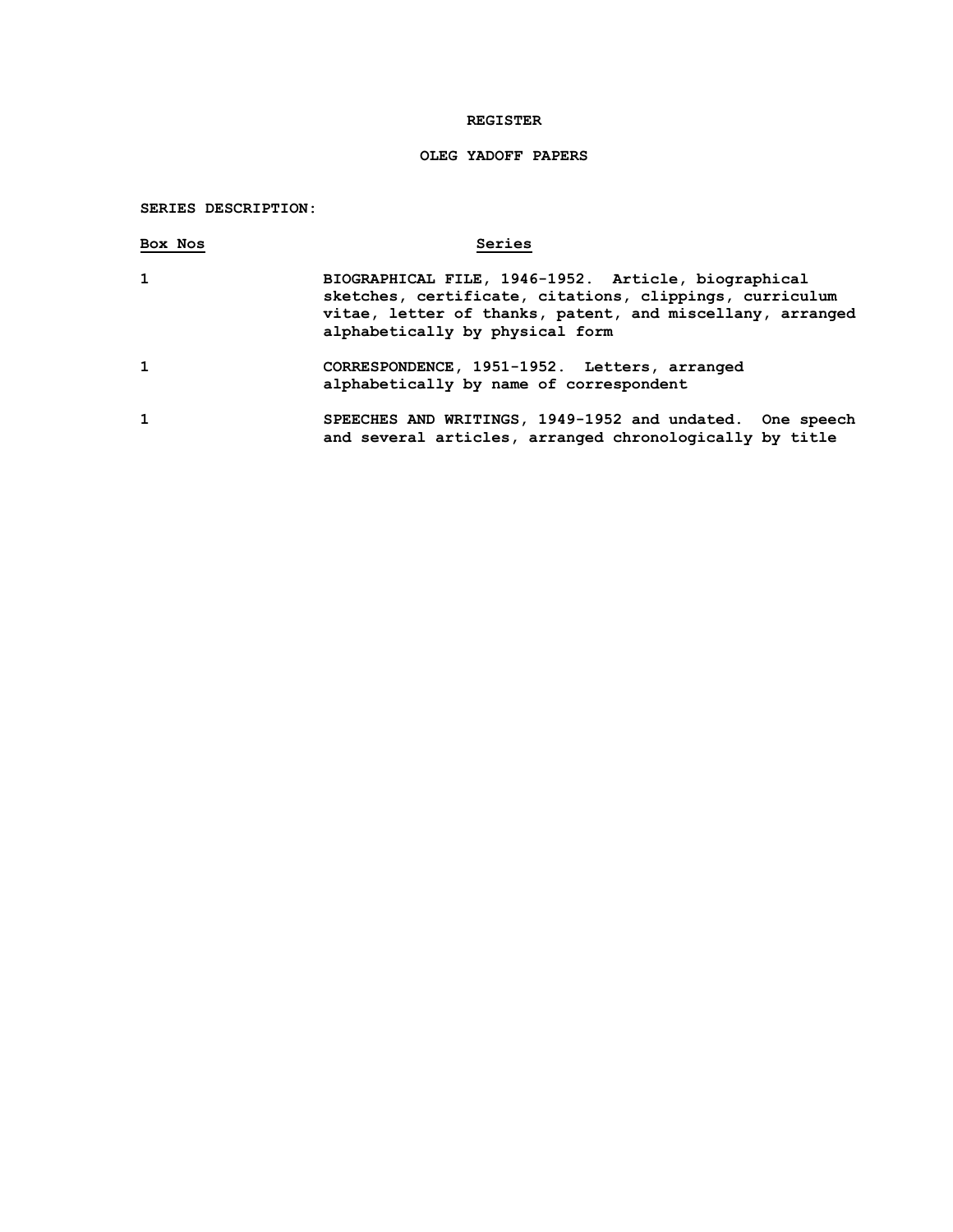### **REGISTER**

# **OLEG YADOFF PAPERS**

## **SERIES DESCRIPTION:**

| Box Nos | Series                                                                                                                                                                                                         |
|---------|----------------------------------------------------------------------------------------------------------------------------------------------------------------------------------------------------------------|
| 1       | BIOGRAPHICAL FILE, 1946-1952. Article, biographical<br>sketches, certificate, citations, clippings, curriculum<br>vitae, letter of thanks, patent, and miscellany, arranged<br>alphabetically by physical form |
| 1       | CORRESPONDENCE, 1951-1952. Letters, arranged<br>alphabetically by name of correspondent                                                                                                                        |
| 1       | SPEECHES AND WRITINGS, 1949-1952 and undated. One speech<br>and several articles, arranged chronologically by title                                                                                            |